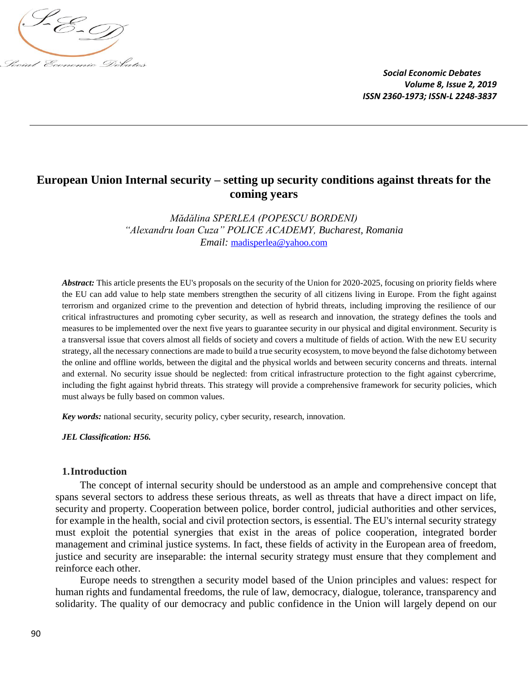

# **European Union Internal security – setting up security conditions against threats for the coming years**

*Mădălina SPERLEA (POPESCU BORDENI) "Alexandru Ioan Cuza" POLICE ACADEMY, Bucharest, Romania Email:* [madisperlea@yahoo.com](mailto:madisperlea@yahoo.com)

Abstract: This article presents the EU's proposals on the security of the Union for 2020-2025, focusing on priority fields where the EU can add value to help state members strengthen the security of all citizens living in Europe. From the fight against terrorism and organized crime to the prevention and detection of hybrid threats, including improving the resilience of our critical infrastructures and promoting cyber security, as well as research and innovation, the strategy defines the tools and measures to be implemented over the next five years to guarantee security in our physical and digital environment. Security is a transversal issue that covers almost all fields of society and covers a multitude of fields of action. With the new EU security strategy, all the necessary connections are made to build a true security ecosystem, to move beyond the false dichotomy between the online and offline worlds, between the digital and the physical worlds and between security concerns and threats. internal and external. No security issue should be neglected: from critical infrastructure protection to the fight against cybercrime, including the fight against hybrid threats. This strategy will provide a comprehensive framework for security policies, which must always be fully based on common values.

*Key words:* national security, security policy, cyber security, research, innovation.

*JEL Classification: H56.*

#### **1.Introduction**

The concept of internal security should be understood as an ample and comprehensive concept that spans several sectors to address these serious threats, as well as threats that have a direct impact on life, security and property. Cooperation between police, border control, judicial authorities and other services, for example in the health, social and civil protection sectors, is essential. The EU's internal security strategy must exploit the potential synergies that exist in the areas of police cooperation, integrated border management and criminal justice systems. In fact, these fields of activity in the European area of freedom, justice and security are inseparable: the internal security strategy must ensure that they complement and reinforce each other.

Europe needs to strengthen a security model based of the Union principles and values: respect for human rights and fundamental freedoms, the rule of law, democracy, dialogue, tolerance, transparency and solidarity. The quality of our democracy and public confidence in the Union will largely depend on our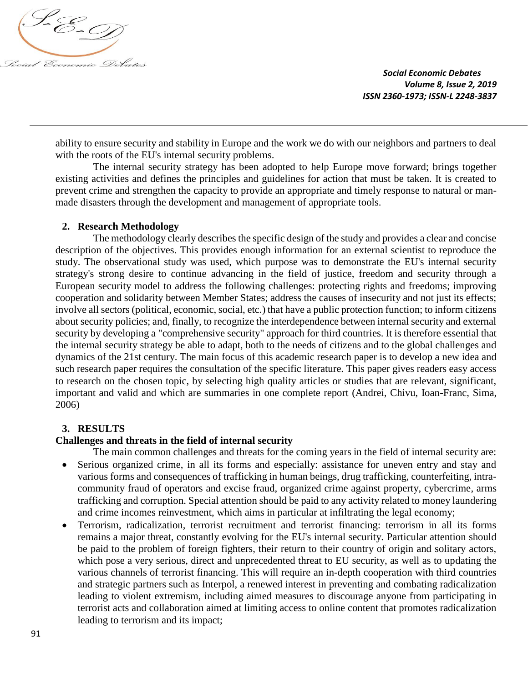

ability to ensure security and stability in Europe and the work we do with our neighbors and partners to deal with the roots of the EU's internal security problems.

The internal security strategy has been adopted to help Europe move forward; brings together existing activities and defines the principles and guidelines for action that must be taken. It is created to prevent crime and strengthen the capacity to provide an appropriate and timely response to natural or manmade disasters through the development and management of appropriate tools.

# **2. Research Methodology**

The methodology clearly describes the specific design of the study and provides a clear and concise description of the objectives. This provides enough information for an external scientist to reproduce the study. The observational study was used, which purpose was to demonstrate the EU's internal security strategy's strong desire to continue advancing in the field of justice, freedom and security through a European security model to address the following challenges: protecting rights and freedoms; improving cooperation and solidarity between Member States; address the causes of insecurity and not just its effects; involve all sectors (political, economic, social, etc.) that have a public protection function; to inform citizens about security policies; and, finally, to recognize the interdependence between internal security and external security by developing a "comprehensive security" approach for third countries. It is therefore essential that the internal security strategy be able to adapt, both to the needs of citizens and to the global challenges and dynamics of the 21st century. The main focus of this academic research paper is to develop a new idea and such research paper requires the consultation of the specific literature. This paper gives readers easy access to research on the chosen topic, by selecting high quality articles or studies that are relevant, significant, important and valid and which are summaries in one complete report (Andrei, Chivu, Ioan-Franc, Sima, 2006)

# **3. RESULTS**

### **Challenges and threats in the field of internal security**

- The main common challenges and threats for the coming years in the field of internal security are: Serious organized crime, in all its forms and especially: assistance for uneven entry and stay and various forms and consequences of trafficking in human beings, drug trafficking, counterfeiting, intracommunity fraud of operators and excise fraud, organized crime against property, cybercrime, arms trafficking and corruption. Special attention should be paid to any activity related to money laundering and crime incomes reinvestment, which aims in particular at infiltrating the legal economy;
- Terrorism, radicalization, terrorist recruitment and terrorist financing: terrorism in all its forms remains a major threat, constantly evolving for the EU's internal security. Particular attention should be paid to the problem of foreign fighters, their return to their country of origin and solitary actors, which pose a very serious, direct and unprecedented threat to EU security, as well as to updating the various channels of terrorist financing. This will require an in-depth cooperation with third countries and strategic partners such as Interpol, a renewed interest in preventing and combating radicalization leading to violent extremism, including aimed measures to discourage anyone from participating in terrorist acts and collaboration aimed at limiting access to online content that promotes radicalization leading to terrorism and its impact;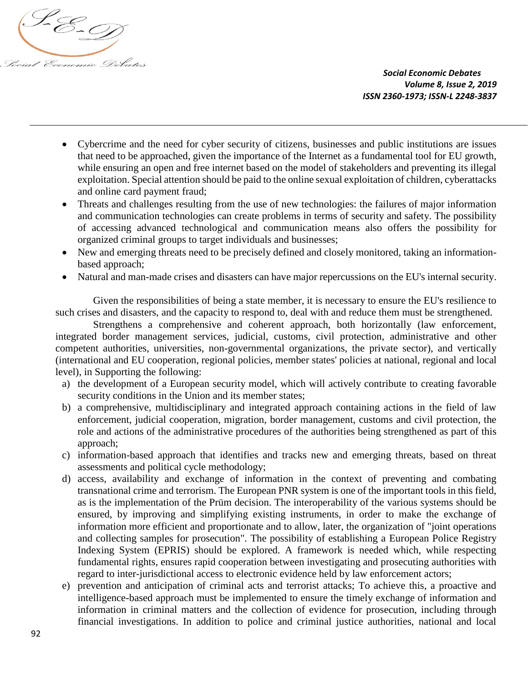

- Cybercrime and the need for cyber security of citizens, businesses and public institutions are issues that need to be approached, given the importance of the Internet as a fundamental tool for EU growth, while ensuring an open and free internet based on the model of stakeholders and preventing its illegal exploitation. Special attention should be paid to the online sexual exploitation of children, cyberattacks and online card payment fraud;
- Threats and challenges resulting from the use of new technologies: the failures of major information and communication technologies can create problems in terms of security and safety. The possibility of accessing advanced technological and communication means also offers the possibility for organized criminal groups to target individuals and businesses;
- New and emerging threats need to be precisely defined and closely monitored, taking an informationbased approach;
- Natural and man-made crises and disasters can have major repercussions on the EU's internal security.

Given the responsibilities of being a state member, it is necessary to ensure the EU's resilience to such crises and disasters, and the capacity to respond to, deal with and reduce them must be strengthened.

Strengthens a comprehensive and coherent approach, both horizontally (law enforcement, integrated border management services, judicial, customs, civil protection, administrative and other competent authorities, universities, non-governmental organizations, the private sector), and vertically (international and EU cooperation, regional policies, member states' policies at national, regional and local level), in Supporting the following:

- a) the development of a European security model, which will actively contribute to creating favorable security conditions in the Union and its member states;
- b) a comprehensive, multidisciplinary and integrated approach containing actions in the field of law enforcement, judicial cooperation, migration, border management, customs and civil protection, the role and actions of the administrative procedures of the authorities being strengthened as part of this approach;
- c) information-based approach that identifies and tracks new and emerging threats, based on threat assessments and political cycle methodology;
- d) access, availability and exchange of information in the context of preventing and combating transnational crime and terrorism. The European PNR system is one of the important tools in this field, as is the implementation of the Prüm decision. The interoperability of the various systems should be ensured, by improving and simplifying existing instruments, in order to make the exchange of information more efficient and proportionate and to allow, later, the organization of "joint operations and collecting samples for prosecution". The possibility of establishing a European Police Registry Indexing System (EPRIS) should be explored. A framework is needed which, while respecting fundamental rights, ensures rapid cooperation between investigating and prosecuting authorities with regard to inter-jurisdictional access to electronic evidence held by law enforcement actors;
- e) prevention and anticipation of criminal acts and terrorist attacks; To achieve this, a proactive and intelligence-based approach must be implemented to ensure the timely exchange of information and information in criminal matters and the collection of evidence for prosecution, including through financial investigations. In addition to police and criminal justice authorities, national and local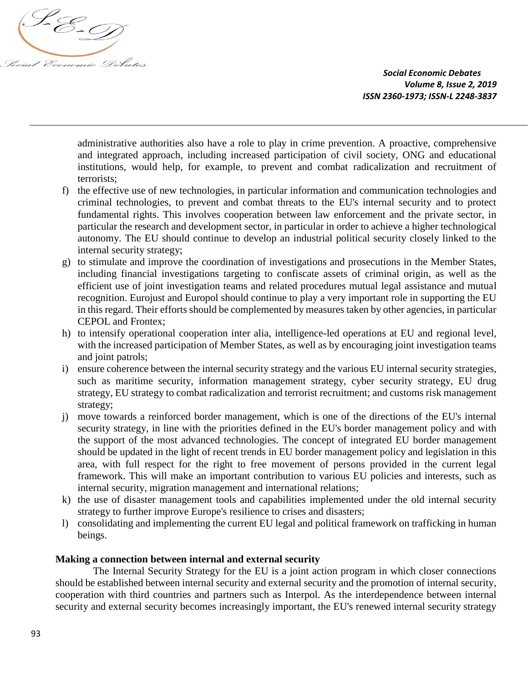

administrative authorities also have a role to play in crime prevention. A proactive, comprehensive and integrated approach, including increased participation of civil society, ONG and educational institutions, would help, for example, to prevent and combat radicalization and recruitment of terrorists;

- f) the effective use of new technologies, in particular information and communication technologies and criminal technologies, to prevent and combat threats to the EU's internal security and to protect fundamental rights. This involves cooperation between law enforcement and the private sector, in particular the research and development sector, in particular in order to achieve a higher technological autonomy. The EU should continue to develop an industrial political security closely linked to the internal security strategy;
- g) to stimulate and improve the coordination of investigations and prosecutions in the Member States, including financial investigations targeting to confiscate assets of criminal origin, as well as the efficient use of joint investigation teams and related procedures mutual legal assistance and mutual recognition. Eurojust and Europol should continue to play a very important role in supporting the EU in this regard. Their efforts should be complemented by measures taken by other agencies, in particular CEPOL and Frontex;
- h) to intensify operational cooperation inter alia, intelligence-led operations at EU and regional level, with the increased participation of Member States, as well as by encouraging joint investigation teams and joint patrols;
- i) ensure coherence between the internal security strategy and the various EU internal security strategies, such as maritime security, information management strategy, cyber security strategy, EU drug strategy, EU strategy to combat radicalization and terrorist recruitment; and customs risk management strategy;
- j) move towards a reinforced border management, which is one of the directions of the EU's internal security strategy, in line with the priorities defined in the EU's border management policy and with the support of the most advanced technologies. The concept of integrated EU border management should be updated in the light of recent trends in EU border management policy and legislation in this area, with full respect for the right to free movement of persons provided in the current legal framework. This will make an important contribution to various EU policies and interests, such as internal security, migration management and international relations;
- k) the use of disaster management tools and capabilities implemented under the old internal security strategy to further improve Europe's resilience to crises and disasters;
- l) consolidating and implementing the current EU legal and political framework on trafficking in human beings.

# **Making a connection between internal and external security**

The Internal Security Strategy for the EU is a joint action program in which closer connections should be established between internal security and external security and the promotion of internal security, cooperation with third countries and partners such as Interpol. As the interdependence between internal security and external security becomes increasingly important, the EU's renewed internal security strategy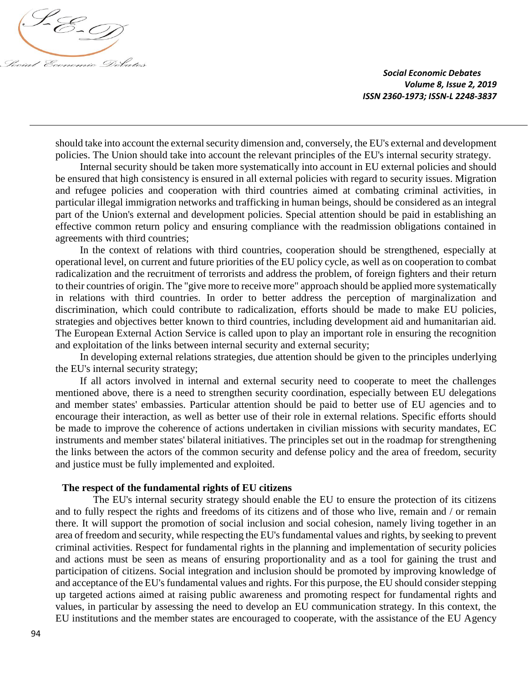

should take into account the external security dimension and, conversely, the EU's external and development policies. The Union should take into account the relevant principles of the EU's internal security strategy.

Internal security should be taken more systematically into account in EU external policies and should be ensured that high consistency is ensured in all external policies with regard to security issues. Migration and refugee policies and cooperation with third countries aimed at combating criminal activities, in particular illegal immigration networks and trafficking in human beings, should be considered as an integral part of the Union's external and development policies. Special attention should be paid in establishing an effective common return policy and ensuring compliance with the readmission obligations contained in agreements with third countries;

In the context of relations with third countries, cooperation should be strengthened, especially at operational level, on current and future priorities of the EU policy cycle, as well as on cooperation to combat radicalization and the recruitment of terrorists and address the problem, of foreign fighters and their return to their countries of origin. The "give more to receive more" approach should be applied more systematically in relations with third countries. In order to better address the perception of marginalization and discrimination, which could contribute to radicalization, efforts should be made to make EU policies, strategies and objectives better known to third countries, including development aid and humanitarian aid. The European External Action Service is called upon to play an important role in ensuring the recognition and exploitation of the links between internal security and external security;

In developing external relations strategies, due attention should be given to the principles underlying the EU's internal security strategy;

If all actors involved in internal and external security need to cooperate to meet the challenges mentioned above, there is a need to strengthen security coordination, especially between EU delegations and member states' embassies. Particular attention should be paid to better use of EU agencies and to encourage their interaction, as well as better use of their role in external relations. Specific efforts should be made to improve the coherence of actions undertaken in civilian missions with security mandates, EC instruments and member states' bilateral initiatives. The principles set out in the roadmap for strengthening the links between the actors of the common security and defense policy and the area of freedom, security and justice must be fully implemented and exploited.

#### **The respect of the fundamental rights of EU citizens**

The EU's internal security strategy should enable the EU to ensure the protection of its citizens and to fully respect the rights and freedoms of its citizens and of those who live, remain and / or remain there. It will support the promotion of social inclusion and social cohesion, namely living together in an area of freedom and security, while respecting the EU's fundamental values and rights, by seeking to prevent criminal activities. Respect for fundamental rights in the planning and implementation of security policies and actions must be seen as means of ensuring proportionality and as a tool for gaining the trust and participation of citizens. Social integration and inclusion should be promoted by improving knowledge of and acceptance of the EU's fundamental values and rights. For this purpose, the EU should consider stepping up targeted actions aimed at raising public awareness and promoting respect for fundamental rights and values, in particular by assessing the need to develop an EU communication strategy. In this context, the EU institutions and the member states are encouraged to cooperate, with the assistance of the EU Agency